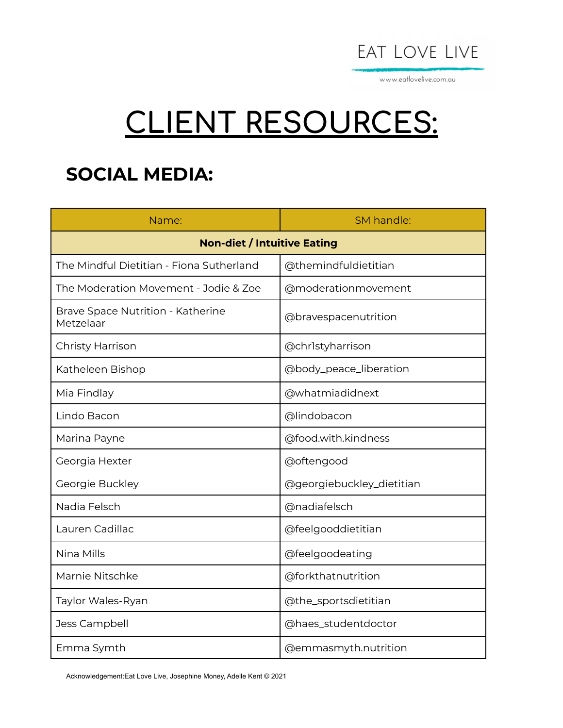

www.eatlovelive.com.au

# **CLIENT RESOURCES:**

## **SOCIAL MEDIA:**

| Name:                                          | SM handle:                |  |
|------------------------------------------------|---------------------------|--|
| <b>Non-diet / Intuitive Eating</b>             |                           |  |
| The Mindful Dietitian - Fiona Sutherland       | @themindfuldietitian      |  |
| The Moderation Movement - Jodie & Zoe          | @moderationmovement       |  |
| Brave Space Nutrition - Katherine<br>Metzelaar | @bravespacenutrition      |  |
| <b>Christy Harrison</b>                        | @chrlstyharrison          |  |
| Katheleen Bishop                               | @body_peace_liberation    |  |
| Mia Findlay                                    | @whatmiadidnext           |  |
| Lindo Bacon                                    | @lindobacon               |  |
| Marina Payne                                   | @food.with.kindness       |  |
| Georgia Hexter                                 | @oftengood                |  |
| Georgie Buckley                                | @georgiebuckley_dietitian |  |
| Nadia Felsch                                   | @nadiafelsch              |  |
| Lauren Cadillac                                | @feelgooddietitian        |  |
| Nina Mills                                     | @feelgoodeating           |  |
| Marnie Nitschke                                | @forkthatnutrition        |  |
| Taylor Wales-Ryan                              | @the_sportsdietitian      |  |
| Jess Campbell                                  | @haes_studentdoctor       |  |
| Emma Symth                                     | @emmasmyth.nutrition      |  |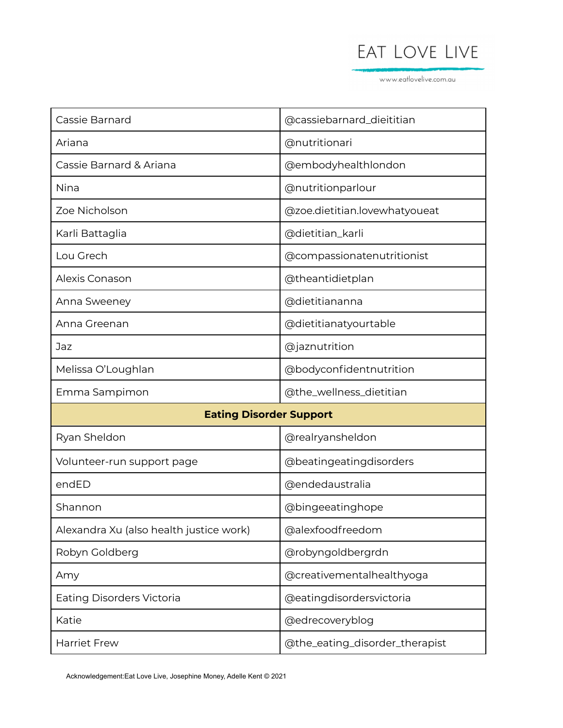www.eatlovelive.com.au

| Cassie Barnard                          | @cassiebarnard_dieititian     |
|-----------------------------------------|-------------------------------|
| Ariana                                  | @nutritionari                 |
| Cassie Barnard & Ariana                 | @embodyhealthlondon           |
| <b>Nina</b>                             | @nutritionparlour             |
| Zoe Nicholson                           | @zoe.dietitian.lovewhatyoueat |
| Karli Battaglia                         | @dietitian_karli              |
| Lou Grech                               | @compassionatenutritionist    |
| Alexis Conason                          | @theantidietplan              |
| Anna Sweeney                            | @dietitiananna                |
| Anna Greenan                            | @dietitianatyourtable         |
| Jaz                                     | @jaznutrition                 |
| Melissa O'Loughlan                      | @bodyconfidentnutrition       |
|                                         |                               |
| Emma Sampimon                           | @the_wellness_dietitian       |
| <b>Eating Disorder Support</b>          |                               |
| Ryan Sheldon                            | @realryansheldon              |
| Volunteer-run support page              | @beatingeatingdisorders       |
| endED                                   | @endedaustralia               |
| Shannon                                 | @bingeeatinghope              |
| Alexandra Xu (also health justice work) | @alexfoodfreedom              |
| Robyn Goldberg                          | @robyngoldbergrdn             |
| Amy                                     | @creativementalhealthyoga     |
| <b>Eating Disorders Victoria</b>        | @eatingdisordersvictoria      |
| Katie                                   | @edrecoveryblog               |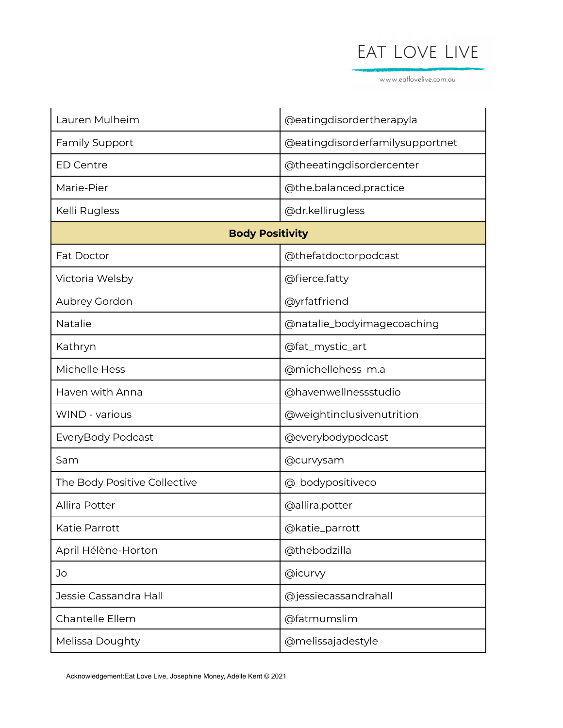www.eatlovelive.com.au

| Lauren Mulheim               | @eatingdisordertherapyla        |  |
|------------------------------|---------------------------------|--|
| <b>Family Support</b>        | @eatingdisorderfamilysupportnet |  |
| <b>ED Centre</b>             | @theeatingdisordercenter        |  |
| Marie-Pier                   | @the.balanced.practice          |  |
| Kelli Rugless                | @dr.kellirugless                |  |
| <b>Body Positivity</b>       |                                 |  |
| <b>Fat Doctor</b>            | @thefatdoctorpodcast            |  |
| Victoria Welsby              | @fierce.fatty                   |  |
| Aubrey Gordon                | @yrfatfriend                    |  |
| Natalie                      | @natalie_bodyimagecoaching      |  |
| Kathryn                      | @fat_mystic_art                 |  |
| Michelle Hess                | @michellehess_m.a               |  |
| Haven with Anna              | @havenwellnessstudio            |  |
| <b>WIND - various</b>        | @weightinclusivenutrition       |  |
| EveryBody Podcast            | @everybodypodcast               |  |
| Sam                          | @curvysam                       |  |
| The Body Positive Collective | @_bodypositiveco                |  |
| <b>Allira Potter</b>         | @allira.potter                  |  |
| Katie Parrott                | @katie_parrott                  |  |
| April Hélène-Horton          | @thebodzilla                    |  |
| Jo                           | @icurvy                         |  |
| Jessie Cassandra Hall        | @jessiecassandrahall            |  |
| Chantelle Ellem              | @fatmumslim                     |  |
| Melissa Doughty              | @melissajadestyle               |  |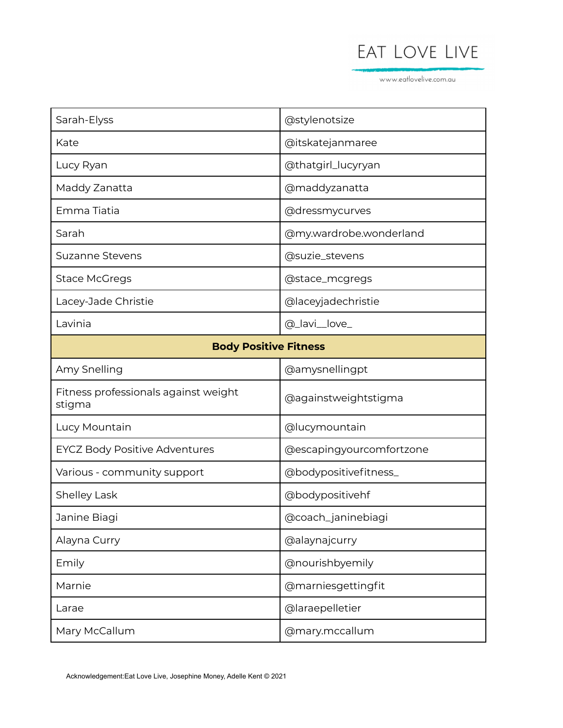www.eatlovelive.com.au

| Sarah-Elyss                                    | @stylenotsize            |  |
|------------------------------------------------|--------------------------|--|
| Kate                                           | @itskatejanmaree         |  |
| Lucy Ryan                                      | @thatgirl_lucyryan       |  |
| Maddy Zanatta                                  | @maddyzanatta            |  |
| Emma Tiatia                                    | @dressmycurves           |  |
| Sarah                                          | @my.wardrobe.wonderland  |  |
| <b>Suzanne Stevens</b>                         | @suzie_stevens           |  |
| <b>Stace McGregs</b>                           | @stace_mcgregs           |  |
| Lacey-Jade Christie                            | @laceyjadechristie       |  |
| Lavinia                                        | @_lavi_love_             |  |
| <b>Body Positive Fitness</b>                   |                          |  |
| Amy Snelling                                   | @amysnellingpt           |  |
| Fitness professionals against weight<br>stigma | @againstweightstigma     |  |
| Lucy Mountain                                  | @lucymountain            |  |
| <b>EYCZ Body Positive Adventures</b>           | @escapingyourcomfortzone |  |
| Various - community support                    | @bodypositivefitness_    |  |
| <b>Shelley Lask</b>                            | @bodypositivehf          |  |
| Janine Biagi                                   | @coach_janinebiagi       |  |
| Alayna Curry                                   | @alaynajcurry            |  |
| Emily                                          | @nourishbyemily          |  |
| Marnie                                         | @marniesgettingfit       |  |
| Larae                                          | @laraepelletier          |  |
| Mary McCallum                                  | @mary.mccallum           |  |